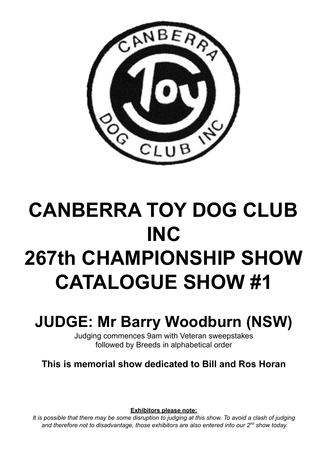

# **CANBERRA TOY DOG CLUB INC 267th CHAMPIONSHIP SHOW CATALOGUE SHOW #1**

## **JUDGE: Mr Barry Woodburn (NSW)**

Judging commences 9am with Veteran sweepstakes followed by Breeds in alphabetical order

This is memorial show dedicated to Bill and Ros Horan

**Exhibitors please note:** 

It is possible that there may be some disruption to judging at this show. To avoid a clash of judging and therefore not to disadvantage, those exhibitors are also entered into our 2<sup>nd</sup> show today.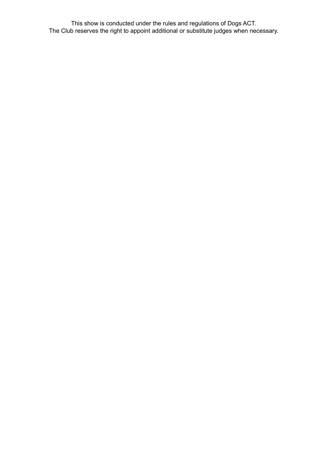This show is conducted under the rules and regulations of Dogs ACT.<br>The Club reserves the right to appoint additional or substitute judges when necessary.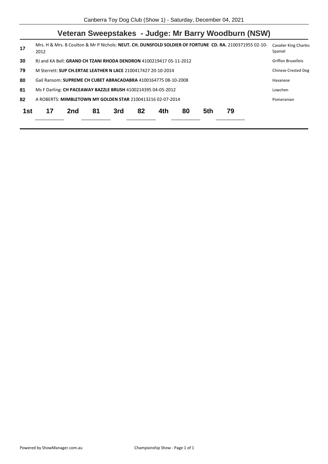|     |                                                                    |     |    |     |    |     |    |     |    | Veteran Sweepstakes - Judge: Mr Barry Woodburn (NSW)                                                    |                                         |
|-----|--------------------------------------------------------------------|-----|----|-----|----|-----|----|-----|----|---------------------------------------------------------------------------------------------------------|-----------------------------------------|
| 17  | 2012                                                               |     |    |     |    |     |    |     |    | Mrs. H & Mrs. B Coulton & Mr P Nichols: NEUT. CH. DUNSFOLD SOLDIER OF FORTUNE CD. RA. 2100371955 02-10- | <b>Cavalier King Charles</b><br>Spaniel |
| 30  | RJ and KA Bell: GRAND CH TZANI RHODA DENDRON 4100219417 05-11-2012 |     |    |     |    |     |    |     |    |                                                                                                         | <b>Griffon Bruxellois</b>               |
| 79  | M Sterrett: SUP CH.ERTAE LEATHER N LACE 2100417427 20-10-2014      |     |    |     |    |     |    |     |    |                                                                                                         | <b>Chinese Crested Dog</b>              |
| 80  | Gail Ransom: SUPREME CH CUBET ABRACADABRA 4100164775 08-10-2008    |     |    |     |    |     |    |     |    |                                                                                                         | Havanese                                |
| 81  | Ms F Darling: CH PACEAWAY BAZZLE BRUSH 4100214395 04-05-2012       |     |    |     |    |     |    |     |    |                                                                                                         | Lowchen                                 |
| 82  | A ROBERTS: MIMBLETOWN MY GOLDEN STAR 2100413216 02-07-2014         |     |    |     |    |     |    |     |    |                                                                                                         | Pomeranian                              |
| 1st | 17                                                                 | 2nd | 81 | 3rd | 82 | 4th | 80 | 5th | 79 |                                                                                                         |                                         |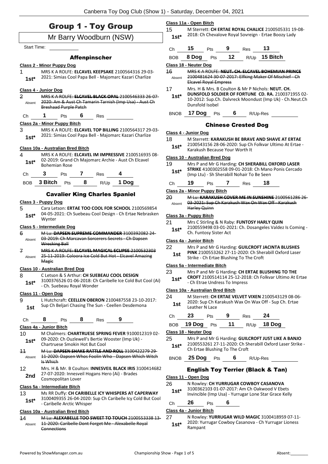### Group 1 - Toy Group

#### Mr Barry Woodburn (NSW)

Start Time:

#### Affenpinscher

#### **Class 2 - Minor Puppy Dog**

1 MRS K A ROLFE: **ELCAVEL KEEPSAKE** 2100564316 29-03- 2021: Simias Cool Papa Bell - Majomarc Kazari Charlize **1st\***

#### **Class 4 - Junior Dog**

| 2<br>Absent | <b>Breshaad Purple Patch</b> |     | <u> MRS K A ROLEE: ELCAVEL BLACK OPAL 2100546333 26-07-</u><br>2020: Am & Aust Ch Tamarin Tarnish (Imp Usa) - Aust Ch |
|-------------|------------------------------|-----|-----------------------------------------------------------------------------------------------------------------------|
| Ch.         | Pts                          | Res |                                                                                                                       |
|             | Class 2a - Minor Puppy Bitch |     |                                                                                                                       |
|             |                              |     | MRS K A ROLFF: <b>ELCAVEL TOP BILLING</b> 2100564317 29-03-                                                           |

2021: Simias Cool Papa Bell - Majomarc Kazari Charlize **1st\***

#### **Class 10a - Australian Bred Bitch**

4 MRS K A ROLFE: **ELCAVEL IM IMPRESSIVE** 2100516935 08- 02-2019: Grand Ch Majomarc Archie - Aust Ch Elcavel **1st**\* UZ-ZUIS: Grand<br>Bohemian Rose

| Ch. |                 | Pts |     | Res |                   |
|-----|-----------------|-----|-----|-----|-------------------|
|     | BOB 3 Bitch Pts |     | - 8 |     | R/Up 1 <b>Dog</b> |

#### Cavalier King Charles Spaniel

#### **Class 3 - Puppy Dog**

5 Cara Letson: **ERTAE TOO COOL FOR SCHOOL** 2100569854 04-05-2021: Ch Suebeau Cool Design - Ch Ertae Nebrasken Wynter **1st\***

#### **Class 5 - Intermediate Dog**

| 6      | M Lu: DAPSEN SUPREME COMMANDER 3100392082 24-    |
|--------|--------------------------------------------------|
| Absent | 03 2019: Ch Marcavan Sorcerers Secrets Ch Dapsen |
|        | Wrecking Ball                                    |
|        | MOC KA DOLEE, FLOAVEL MAACICAL FOUDER 2400E22202 |

7 MRS K A ROLFE: **ELCAVEL MAGICAL ECLIPSE** 2100532303 25-11-2019: Coloora Ice Cold But Hot - Elcavel Amazing Magic Absent

#### **Class 10 - Australian Bred Dog**

| 8      | C Letson & S Arthur: CH SUEBEAU COOL DESIGN                |
|--------|------------------------------------------------------------|
| $1st*$ | 3100376526 01-06-2018: Ch Caribelle Ice Cold But Cool (Ai) |
|        | - Ch. Suebeau Royal Wonder                                 |

#### **Class 11 - Open Dog**

9 L Hutchcraft: **CEELLEN OBERON** 2100487558 23-10-2017: Sup Ch Beljari Chasing The Sun - Ceellen Desdemona **1st**

Ch **8** Pts **8** Res **9**

#### **Class 4a - Junior Bitch**

- 10 M Chalmers: **CHARTRUESE SPRING FEVER** 9100012319 02- 09-2020: Ch Ouzlewell's Bertie Wooster (Imp Uk) - **1st\*** U<sup>9-2020</sup>: Chartruese Smokin Hot But Cool
- 11 M Lu: **DAPSEN SHAKE RATTLE AND ROLL** 3100422279 29- 11-2020: Dapsen Whos Foolin Who - Dapsen Which Witch Is Which Absent
- 12 Mrs. H & Mr. B Coulton: **INNESVEIL BLACK IRIS** 3100414682 27-07-2020: Innesveil Hogans Hero (Ai) - Brades **2nd** <sup>27-07-2020: Innesve<br>Cosmopolitan Lover</sup>

#### **Class 5a - Intermediate Bitch**

13 Ms RR Duffy: **CH CARIBELLE ICY WHISPERS AT CAPERWAY** 3100409355 26-04-2020: Sup Ch Caribelle Icy Cold But Cool - Caribelle Arctic Whisper **1st\***

#### **Class 10a - Australian Bred Bitch**

14 M Lu: **ALEXABELLE TOO SWEET TO TOUCH** 2100553338 13- 11-2020: Caribelle Dont Forget Me - Alexabelle Royal **Connections** Absent

#### **Class 11a - Open Bitch**

15 M Sterrett: **CH ERTAE ROYAL CHALICE** 2100505331 19-08- 2018: Ch Chevalove Royal Sovreign - Ertae Boozy Lady **1st\***

- Ch **15** Pts **9** Res **13** BOB **8 Dog** Pts **12** R/Up **15 Bitch Class 18 - Neuter Dog** 16 MRS K A ROLFE: **NEUT. CH. ELCAVEL BOHEMIAN PRINCE** 2100481624 30-07-2017: Elfking Maker Of Mischief - Ch Absent
- Elcavel Royal Empress 17 Mrs. H & Mrs. B Coulton & Mr P Nichols: **NEUT. CH. DUNSFOLD SOLDIER OF FORTUNE CD. RA.** 2100371955 02- 10-2012: Sup.Ch. Dalvreck Moondust (Imp Uk) - Ch.Neut.Ch **1st\***
- BNOB **17 Dog** Pts **6** R/Up-Res

#### Chinese Crested Dog

#### **Class 4 - Junior Dog**

- 18 M Sterrett: **KARAKUSH BE BRAVE AND SHAVE AT ERTAE**
	- 2100543156 28-06-2020: Sup Ch Folkvar Ultimo At Ertae 1st\* 2100543156 28-06-2020: Sup Ch

#### **Class 10 - Australian Bred Dog**

Dunsfold Isobel

- 19 Mrs P and Mr G Harding: **CH SHERABILL OXFORD LASER STRIKE** 4100302558 09-01-2018: Ch Mano Ponis Cercado (Imp Ltu) - Sh Sherabill Nohair To Be Seen **1st\***
- Ch **19** Pts **7** Res **18**

#### **Class 2a - Minor Puppy Bitch**

20 M Lu: **KARAKUSH COVER ME IN SUNSHINE** 2100561286 26- 03-2021: Sup Ch Karakush Wax On Wax Off - Karakush Harley Quinn Absent

#### **Class 3a - Puppy Bitch**

21 Mrs C Stirling & N Raby: **FUNTOSY HARLY QUIN** 2100559498 03-01-2021: Ch. Dosangeles Valdez Is Coming - **1st** <sup>2100559498 03-01-20</sup>

#### **Class 4a - Junior Bitch**

22 Mrs P and Mr G Harding: **GUILCROFT JACINTA BLUSHES PINK** 2100553262 27-11-2020: Ch Sherabill Oxford Laser **1st** PINN 2100333262 27-11-2020. CH SHEIRTHENG Strike - Ch Ertae Blushing To The Croft

#### **Class 5a - Intermediate Bitch**

- 23 Mrs P and Mr G Harding: **CH ERTAE BLUSHING TO THE**
- **CROFT** 2100514114 25-12-2018: Ch Folkvar Ultimo At Ertae - Ch Etrae Undress To Impress **1st\***

#### **Class 10a - Australian Bred Bitch**

| 24  | M Sterrett: CH ERTAE VELVET VIXEN 2100543129 08-06-                    |
|-----|------------------------------------------------------------------------|
| 1st | 2020: Sup Ch Karakush Wax On Wax Off - Sup Ch. Ertae<br>Leather N Lace |
|     |                                                                        |

| Ch | 23                | <b>Pts</b> | - 9 | <b>Res</b> | -24         |
|----|-------------------|------------|-----|------------|-------------|
|    | BOB 19 Dog Pts 11 |            |     |            | R/Up 18 Dog |

#### **Class 18 - Neuter Dog**

- 25 Mrs P and Mr G Harding: **GUILCROFT JUST LIKE A BANJO** 2100553261 27-11-2020: Ch Sherabill Oxford Laser Strike - **1st**\* 2100553261 27-11-2020: Ch State Blushing To The Croft
- BNOB **25 Dog** Pts **6** R/Up-Res

#### English Toy Terrier (Black & Tan)

#### **Class 11 - Open Dog**

#### 26 N Rowley: **CH YURRUGAR COWBOY CASANOVA**

3100362103 01-07-2017: Am Ch Oakwood V Ebets **1st** 3100362103 01-07-2017: Am Ch Oakwood V Ebets<br>Invincible (Imp Usa) - Yurrugar Lone Star Grace Kelly

#### Ch **26** Pts **6**

#### **Class 4a - Junior Bitch**

27 N Rowley: **YURRUGAR WILD MAGIC** 3100418959 07-11- 2020: Yurrugar Cowboy Casanova - Ch Yurrugar Lioness 1st<sup>\*</sup> <sup>2020: Yur</sup><br>Rampant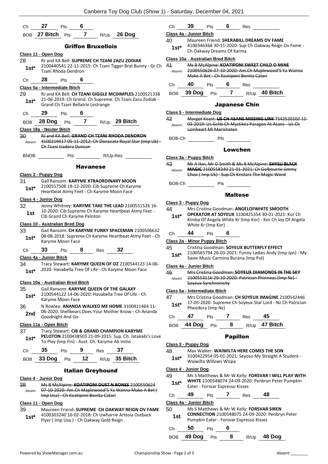| Ch            | 27                                | Pts                     | -6                                 |                                                |                                                                                                                  | СI                   |
|---------------|-----------------------------------|-------------------------|------------------------------------|------------------------------------------------|------------------------------------------------------------------------------------------------------------------|----------------------|
|               | BOB 27 Bitch                      | Pts                     | $\overline{7}$                     | R/Up                                           | 26 Dog                                                                                                           | Cla                  |
|               |                                   |                         |                                    | <b>Griffon Bruxellois</b>                      |                                                                                                                  | 40                   |
|               | <u>Class 11 - Open Dog</u>        |                         |                                    |                                                |                                                                                                                  |                      |
| 28            |                                   |                         |                                    |                                                | RJ and KA Bell: SUPREME CH TZANI ZAZU ZODIAK                                                                     | Cla                  |
| $1st*$        |                                   | Tzani Rhoda Dendron     |                                    |                                                | 2100440541 22-11-2015: Ch Tzani Tigger Brat Bunny - Gr Ch                                                        | 41<br>$\overline{f}$ |
| Ch            | 28                                | Pts                     | 6                                  |                                                |                                                                                                                  | СI                   |
|               | Class 5a - Intermediate Bitch     |                         |                                    |                                                |                                                                                                                  |                      |
| 29<br>$1st^*$ |                                   |                         | Grand Ch Tzani Bellatrix Lestrange |                                                | RJ and KA Bell: CH TZANI GIGGLE MCDIMPLES 2100521338<br>21-06-2019: Ch Grand. Ch Supreme. Ch Tzani Zazu Zodiak - | B                    |
| Сh            | 29                                | Pts                     | 6                                  |                                                |                                                                                                                  | <u>Cla</u>           |
| <b>BOB</b>    | 28 Dog                            | Pts                     | $\overline{7}$                     |                                                | R/Up 29 Bitch                                                                                                    | 42                   |
|               | Class 18a - Neuter Bitch          |                         |                                    |                                                |                                                                                                                  | F                    |
| 30            |                                   |                         |                                    |                                                | RJ and KA Bell: GRAND CH TZANI RHODA DENDRON                                                                     |                      |
| Absent        |                                   |                         |                                    |                                                | 4100219417 05-11-2012: Ch Donzeata Royal Star (Imp Uk) -                                                         | B                    |
|               |                                   | Ch Tzani Isadora Duncan |                                    |                                                |                                                                                                                  |                      |
| <b>BNOB</b>   |                                   | Pts                     |                                    | R/Up-Res                                       |                                                                                                                  | Cla                  |
|               |                                   |                         | <b>Havanese</b>                    |                                                |                                                                                                                  | 43                   |
|               |                                   |                         |                                    |                                                |                                                                                                                  | A                    |
| 31            | Class 3 - Puppy Dog               |                         |                                    |                                                | Gail Ransom: KARYME XTRAORDINARY MOON                                                                            |                      |
| 1st*          |                                   |                         |                                    |                                                | 2100557508 18-12-2020: Cib Supreme Ch Karyme                                                                     | B                    |
|               |                                   |                         |                                    |                                                | Heartbeat Atmy Feet - Ch Karyme Moon Face                                                                        |                      |
|               | Class 4 - Junior Dog              |                         |                                    |                                                |                                                                                                                  |                      |
| 32            |                                   |                         |                                    |                                                | Jenny Whitney: KARYME TAKE THE LEAD 2100551526 16-                                                               | <u>Cla</u><br>44     |
| 1st           |                                   |                         | Cib Grand Ch Karyme Peloton        |                                                | 10-2020: Cib Supreme Ch Karyme Heartbeat Atmy Feet -                                                             |                      |
|               | Class 10 - Australian Bred Dog    |                         |                                    |                                                |                                                                                                                  |                      |
| 33            |                                   |                         |                                    |                                                | Gail Ransom: CH KARYME FUNKY SPACEMAN 2100506632                                                                 |                      |
| $1st^*$       |                                   | Karyme Moon Face        |                                    |                                                | 08-08-2018: Supreme Ch Karyme Heartbeat Atmy Feet - Ch                                                           | CI<br>Cla            |
|               | 33                                |                         | 8                                  |                                                | 32                                                                                                               | 45                   |
| Сh            |                                   | Pts                     |                                    | Res                                            |                                                                                                                  |                      |
| 34            | Class 4a - Junior Bitch           |                         |                                    |                                                | Tracy Stewart: KARYME QUEEN OF OZ 2100544123 14-06-                                                              |                      |
| $1st^*$       |                                   |                         |                                    |                                                | 2020: Havabella Tree Of Life - Ch Karyme Moon Face                                                               | <u>Cla</u>           |
|               |                                   |                         |                                    |                                                |                                                                                                                  | 46<br>$\overline{1}$ |
|               | Class 10a - Australian Bred Bitch |                         |                                    |                                                |                                                                                                                  |                      |
| 35            |                                   |                         |                                    |                                                | Gail Ransom: KARYME QUEEN OF THE GALAXY                                                                          | <u>Cla</u>           |
| $1st*$        |                                   | Karyme Moon Face        |                                    |                                                | 2100544122 14-06-2020: Havabella Tree Of Life - Ch                                                               | 47                   |
| 36            |                                   |                         |                                    |                                                | N Rowley: ANANDA WALKED ME HOME 3100411464 11-                                                                   | f                    |
| 2nd           |                                   |                         |                                    |                                                | 06-2020: Shellbears Does Your Mother Know - Ch Ananda                                                            |                      |
|               |                                   | Goodnight And Go        |                                    |                                                |                                                                                                                  | СI                   |
|               | Class 11a - Open Bitch            |                         |                                    |                                                |                                                                                                                  | B                    |
| 37            |                                   |                         |                                    |                                                | Tracy Stewart: CIB & GRAND CHAMPION KARYME                                                                       |                      |
| $1st^*$       |                                   |                         |                                    | To Play (Imp Fin) - Aust. Ch. Karyme Ab Initio | PELOTON 2100438503 21-09-2015: Sup. Ch. Jatakabi's Love                                                          | <u>Cla</u>           |
| Ch            | 35                                | Pts                     | 9                                  | Res                                            | 37                                                                                                               | 48                   |
| BOB           | 33 Dog                            | Pts                     | 12 <sup>°</sup>                    |                                                | R/Up 35 Bitch                                                                                                    |                      |
|               |                                   |                         |                                    | <b>Italian Greyhound</b>                       |                                                                                                                  | <u>Cla</u>           |
|               | Class 4 - Junior Dog              |                         |                                    |                                                |                                                                                                                  | 49                   |
| 38            |                                   |                         |                                    |                                                | Ms B McAlpine: KOATIPONI DUST N BONES 2100550624                                                                 | ŕ                    |
| Absent        |                                   |                         |                                    |                                                | 07-10-2020: Am.Ch Maplewood'S Ya Wanna Make A Bet (                                                              |                      |
|               |                                   |                         |                                    | Imp Usa) Ch Koatiponi Bonita Catari            |                                                                                                                  | СI                   |

#### **Class 11 - Open Dog**

39 Maureen Friend: **SUPREME CH OAKWAY REIGN OV FAME** 4100303240 16-02-2018: Ch Uwharrie Artesia Outback **1st** 4100303240 16-02-2018: Ch Uwharrie Ar<br>Flyer ( Imp Usa ) - Ch Oakway Gold Reign

| Ch                                | 39                           | Pts 6                                 |                | Res                  |                                                                                                                                                            |  |
|-----------------------------------|------------------------------|---------------------------------------|----------------|----------------------|------------------------------------------------------------------------------------------------------------------------------------------------------------|--|
| Class 4a - Junior Bitch           |                              |                                       |                |                      |                                                                                                                                                            |  |
| 40<br>1st*                        |                              | Ch Oakway Dreams Of Karma             |                |                      | Maureen Friend: SHERABILL DREAMS OV FAME<br>4100346368 30-11-2020: Sup Ch Oakway Reign Ov Fame -                                                           |  |
| Class 10a - Australian Bred Bitch |                              |                                       |                |                      |                                                                                                                                                            |  |
| 41<br>Absent                      |                              | Make A Bet Ch Koatiponi Bonita Catari |                |                      | Ms B McAlpine: KOATIPONI SWEET CHILD O MINE<br>2100550626 07-10-2020: Am.Ch Maplewood'S Ya Wanna                                                           |  |
|                                   | Ch 40 Pts 6 Res              |                                       |                |                      |                                                                                                                                                            |  |
|                                   |                              |                                       |                |                      | BOB 39 Dog Pts 7 R/Up 40 Bitch                                                                                                                             |  |
|                                   |                              |                                       |                | <b>Japanese Chin</b> |                                                                                                                                                            |  |
| Class 5 - Intermediate Dog        |                              |                                       |                |                      |                                                                                                                                                            |  |
| 42                                |                              | Lionheart Mi Marishaten               |                |                      | Margot Keast: US CH ASANS MISSING LINK TS42520102 12-<br>Absent 03 2019: Us Gchb Ch Mystikes Paragon At Asans Us Ch                                        |  |
| BOB-Ch                            |                              | <b>Pts</b>                            |                |                      |                                                                                                                                                            |  |
|                                   |                              |                                       | Lowchen        |                      |                                                                                                                                                            |  |
| Class 3a - Puppy Bitch            |                              |                                       |                |                      |                                                                                                                                                            |  |
| Absent                            |                              |                                       |                |                      | Mr A Ikin, Mr D Smith & Ms B McAlpine: SHYSU BLACK<br>MAGIC 2100558240 21-01-2021: Ch Golbourne Jimmy<br>Choo (Imp Uk) Sup.Ch Kristarz The Magic Word      |  |
| BOB-Ch                            |                              | Pts                                   |                |                      |                                                                                                                                                            |  |
|                                   |                              |                                       | <b>Maltese</b> |                      |                                                                                                                                                            |  |
| Class 3 - Puppy Dog               |                              |                                       |                |                      |                                                                                                                                                            |  |
| 44<br>$1st^*$                     |                              | White Kr (Imp Kor)                    |                |                      | Mrs Cristina Goodman: ANGELOFWHITE SMOOTH<br>OPERATOR AT SOYEUX 3100425354 30-01-2021: Kor Ch<br>Kimba Of Angela White Kr (Imp Kor) - Kor Ch Joy Of Angela |  |
| Ch                                | 44                           | <b>Pts</b>                            | 6              |                      |                                                                                                                                                            |  |
|                                   | Class 2a - Minor Puppy Bitch |                                       |                |                      |                                                                                                                                                            |  |

| Cristina Goodman: SOYEUX BUTTERFLY EFFECT |  |
|-------------------------------------------|--|

2100565794 26-03-2021: Funny Ladies Andy (Imp Jpn) - My Swee Music Carmina Burana (Imp Pol) **1st\***

#### **Class 4a - Junior Bitch**

| 46     | Mrs Cristina Goodman: SOYEUX DIAMONDS IN THE SKY     |
|--------|------------------------------------------------------|
| Absent | 2100553116 29-10-2020: Patrician Phinneas (Imp Nz) - |
|        | Soyeux Synchronicity                                 |

#### **Class 5a - Intermediate Bitch**

| 47     | Mrs Cristina Goodman: CH SOYEUX IMAGINE 2100542446                             |
|--------|--------------------------------------------------------------------------------|
| $1st*$ | 17-05-2020: Supreme Ch Soyeux Star Lord - Nz Ch Patrician<br>Pheodora (Imp Nz) |

| Ch | 47             | <b>Pts</b> | Res | 45                   |
|----|----------------|------------|-----|----------------------|
|    | BOB 44 Dog Pts |            |     | R/Up <b>47 Bitch</b> |

#### Papillon

- 48 Max Walker: **WAIWILTA HERE COMES THE SON**
- 3100422954 05-01-2021: Seyoso My Straight A Student Waiwilta Willows Wispa **1st\***

#### **Class 4 - Junior Dog**

| 49     | Ms S Matthews & Mr W Kelly: FORSVAR I WILL PLAY WITH      |
|--------|-----------------------------------------------------------|
| $1st*$ | <b>WHITE 2100548074 24-09-2020: Penbryn Peter Pumpkin</b> |
|        | Eater - Forsvar Expresso Kisses                           |

| . |  | PS<br>__ | . |
|---|--|----------|---|
|   |  |          |   |

#### **Class 4a - Junior Bitch**

50 Ms S Matthews & Mr W Kelly: **FORSVAR SIREN CONNECTION** 2100548075 24-09-2020: Penbryn Peter **1st CONNECTION** 2100548075 24-09-2020:<br>Pumpkin Eater - Forsvar Expresso Kisses

```
Ch 50 Pts 6
```

```
BOB 49 Dog Pts 8 R/Up 48 Dog
```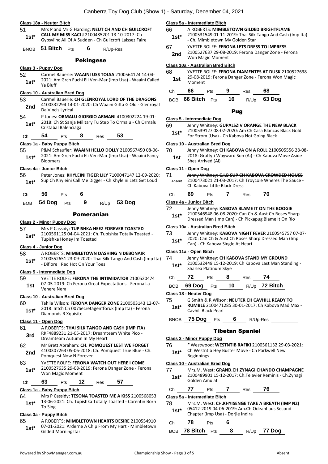#### **Class 18a - Neuter Bitch** 51 Mrs P and Mr G Harding: **NEUT CH AND CH GUILCROFT CALL ME MISS KACI J** 2100485201 13-10-2017: Ch **1st\* CALL IVIE IVILS NACLE**<br>**1st\* Gypsylinc All Of A Sudden - Ch Guilcroft Laissez Faire** BNOB **51 Bitch** Pts **6** R/Up-Res Pekingese **Class 3 - Puppy Dog** 52 Carmel Bauerle: **WAAINI USS TOLSA** 2100564124 14-04- 2021: Am Grch Fuchi Eli Ven-Mar (Imp Usa) - Waaini Called Ya Bluff **1st\* Class 10 - Australian Bred Dog** 53 Carmel Bauerle: **CH GLENROYAL LORD OF THE DRAGONS** 4100332294 14-01-2020: Ch Waaini Gifta G Old - Glenroyal **2nd** <sup>4100332294 14-<br>Da Vincis Lyrical</sup> 54 P Jones: **ORMALU GIORGIO ARMANI** 4100302224 19-01- 2018: Ch St Sanja Military Tu Step To Ormalu - Ch Ormalu **1st**\* 2018: Ch St Sanja M<br>Cristabal Balenciaga Ch **54** Pts **8** Res **53 Class 1a - Baby Puppy Bitch** 55 P&M Schaufler: **WAAINI HELLO DOLLY** 2100567450 08-06- 2021: Am Grch Fuchi Eli Ven-Mar (Imp Usa) - Waaini Fancy 1st<sup>\*</sup> <sup>2021: Am</sup><br>Bloomers **Class 4a - Junior Bitch** 56 Peter Jones: **KHYLEINI TIGER LILY** 7100047147 12-09-2020: 1st\* Sup Ch Khyleini Call Me Digger - Ch Khyleini Letz Get Loud Ch **56** Pts **6** BOB **54 Dog** Pts **9** R/Up **53 Dog** Pomeranian **Class 2 - Minor Puppy Dog** 57 Mrs P Cassidy: **TUPISHKA HEEZ FOREVER TOASTED** 2100561125 04-04-2021: Ch. Tupishka Totally Toasted - 1st\* <sup>2100561125</sup> 04-04-2021; CI<br>Tupishka Honey Im Toasted **Class 4 - Junior Dog** 58 A ROBERTS: **MIMBLETOWN DASHING N DEBONAIR** 2100552651 23-09-2020: Thai Silk Tango And Cash (Imp Ita) - Difiore Red Hot On Your Toes **1st\* Class 5 - Intermediate Dog** 59 YVETTE ROLFE: **FERONA THE INTIMIDATOR** 2100520474 07-05-2019: Ch Ferona Great Expectations - Ferona La Venere Nera **1st Class 10 - Australian Bred Dog** 60 Tahlia Wilson: **FERONA DANGER ZONE** 2100503143 12-07- 2018: Intch Ch 007Secretagentforuk (Imp Ita) - Ferona **1st**\* <sup>2018:</sup> Inten Ch OU/Se<br>Diamonds R Xquisite **Class 11 - Open Dog** 61 A ROBERTS: **THAI SILK TANGO AND CASH (IMP ITA)** RKF4889231 21-05-2017: Dreamteam White Pico - **3rd** RKF4889231 21-05-2017: Dreamt Dreamteam Autumn In My Heart 62 Mr Brett Abraham: **CH. POMQUEST LEST WE FORGET** 4100307263 05-06-2018: Ch. Pomquest True Blue - Ch. **2nd** <sup>4100307263 05-06-2018:<br>Pomquest Now N Forever</sup> 63 YVETTE ROLFE: **FERONA WATCH OUT HERE I COME** 2100527635 29-08-2019: Ferona Danger Zone - Ferona Won Magic Moment **1st\*** Ch **63** Pts **12** Res **57 Class 1a - Baby Puppy Bitch**

- 
- 64 Mrs P Cassidy: **TESONA TOASTED ME A KISS** 2100568053 13-06-2021: Ch. Tupishka Totally Toasted - Corentin Born 1st\* <sup>13-Ub-2</sup><br>To Sing

#### **Class 3a - Puppy Bitch**

65 A ROBERTS: **MIMBLETOWN HEARTS DESIRE** 2100554910 07-01-2021: Arderne A Chip From My Hart - Mimbletown 1st\* U/-U1-2021: Ardern<br>Gilded Morningstar

#### **Class 5a - Intermediate Bitch**

- 66 A ROBERTS: **MIMBLETOWN GILDED BRIGHTFLAME** 2100531549 01-11-2019: Thai Silk Tango And Cash (Imp Ita)
- Ch. Mimbletown My Golden Star **1st\***
- 67 YVETTE ROLFE: **FERONA LETS DRESS TO IMPRESS** 2100527637 29-08-2019: Ferona Danger Zone - Ferona 2nd <sup>2100527637</sup><br>Won Magic Moment

#### **Class 10a - Australian Bred Bitch**

68 YVETTE ROLFE: **FERONA DIAMENTES AT DUSK** 2100527638 29-08-2019: Ferona Danger Zone - Ferona Won Magic 1st <sup>29-08-20</sup><br>Moment

| Ch | 66 Pts 9 |  | Res | 68                                |
|----|----------|--|-----|-----------------------------------|
|    |          |  |     | BOB 66 Bitch Pts $16$ R/Up 63 Dog |

#### Pug

#### **Class 5 - Intermediate Dog**

- 69 Jenny Whitney: **GUPALSZIV ORANGE THE NEW BLACK**
- 2100539127 08-02-2020: Am Ch Casa Blancas Black Gold For Strom (Usa) - Ch Kabova Not Going Black **1st\***

#### **Class 10 - Australian Bred Dog**

- 70 Jenny Whitney: **CH KABOVA ON A ROLL** 2100505556 28-08-
	- 2018: Graffyti Wayward Son (Ai) Ch Kabova Move Aside **1st** <sup>2018</sup>: Graffyti W<br>Shes Arrived (Ai)

#### **Class 11 - Open Dog**

| 71     | Jenny Whitney: C.I.B SUP CH KABOVA CROWDED HOUSE      |
|--------|-------------------------------------------------------|
| Absent | 2100473021 21-03-2017: Ch Troycole Wheres The Sauce - |
|        | Ch Kabova Little Black Dress                          |

| Ch | 69 | Pts | Res | 70 |
|----|----|-----|-----|----|
|    |    |     |     |    |

#### **Class 4a - Junior Bitch**

| 72<br>$1st*$ | Jenny Whitney: KABOVA BLAME IT ON THE BOOGIE<br>2100546948 06-08-2020: Can Ch & Aust Ch Roses Sharp<br>Dressed Man (Imp Can) - Ch Pickapug Blame It On Rio |
|--------------|------------------------------------------------------------------------------------------------------------------------------------------------------------|
|              | Class 10a - Australian Bred Bitch                                                                                                                          |
| 73           | Jenny Whitney: KABOVA NIGHT FEVER 2100545757 07-07-                                                                                                        |

| , J    | $J$ , willing the property in the first stress for $J$ , $J$ , $J$ |
|--------|--------------------------------------------------------------------|
| $1st*$ | 2020: Can Ch & Aust Ch Roses Sharp Dressed Man (Imp                |
|        | Can) - Ch Kabova Single At Heart                                   |

#### **Class 11a - Open Bitch**

| 74     | Jenny Whitney: CH KABOVA STAND MY GROUND             |
|--------|------------------------------------------------------|
| $1st*$ | 2100532449 15-12-2019: Ch Kabova Last Man Standing - |
|        | Sharlea Platinum Skye                                |

- Ch **72** Pts **8** Res **74**
- BOB **69 Dog** Pts **10** R/Up **72 Bitch**

#### **Class 18 - Neuter Dog**

- 75 G Smith & R Wilson: **NEUTER CH CAVHILL READY TO RUMBLE** 2100471285 30-01-2017: Ch Kabova Mad Max - 1st\* **RUINIBLE 2100471**<br>Cavhill Black Pearl
- BNOB **75 Dog** Pts **6** R/Up-Res

#### Tibetan Spaniel

#### **Class 2 - Minor Puppy Dog** 76 F Westwood: **WESTNTIB RAFIKI** 2100561132 29-03-2021:

Ch Westntib Hey Buster Move - Ch Parkwell New Beginnings **1st\***

#### **Class 10 - Australian Bred Dog**

77 Mrs.M. West: **GRAND.CH.ZYNAGI CHANDO CHAMPAGNE** 2100489901 15-12-2017: Ch.Telavier Reminis - Ch.Zynagi Golden Amulat **1st\*** Ch **77** Pts **7** Res **76**

**Class 5a - Intermediate Bitch**

78 Mrs.M. West: **CH.KHYISENGE TAKE A BREATH (IMP NZ)** 05412-2019 04-06-2019: Am.Ch.Odeanhaus Second Chapter (Imp Usa) - Dorjie Indira **1st\***

|    |                  | Chapter (lilip Osa) - Doi jie mulia |   |  |               |  |
|----|------------------|-------------------------------------|---|--|---------------|--|
| Ch | 78               | <b>Pts</b>                          |   |  |               |  |
|    | BOB 78 Bitch Pts |                                     | 8 |  | $R/Up$ 77 Dog |  |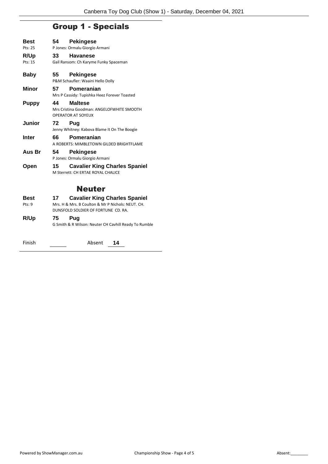## Group 1 - Specials

| <b>Best</b>   | 54   | <b>Pekingese</b>                                                                         |
|---------------|------|------------------------------------------------------------------------------------------|
| Pts: 25       |      | P Jones: Ormalu Giorgio Armani                                                           |
| R/Up          | 33   | <b>Havanese</b>                                                                          |
| Pts: 15       |      | Gail Ransom: Ch Karyme Funky Spaceman                                                    |
|               |      |                                                                                          |
| <b>Baby</b>   | 55 — | <b>Pekingese</b>                                                                         |
|               |      | P&M Schaufler: Waaini Hello Dolly                                                        |
| <b>Minor</b>  | 57   | Pomeranian                                                                               |
|               |      | Mrs P Cassidy: Tupishka Heez Forever Toasted                                             |
| <b>Puppy</b>  | 44   | <b>Maltese</b>                                                                           |
|               |      | Mrs Cristina Goodman: ANGELOFWHITE SMOOTH<br><b>OPERATOR AT SOYEUX</b>                   |
|               |      |                                                                                          |
| <b>Junior</b> | 72   | Pug<br>Jenny Whitney: Kabova Blame It On The Boogie                                      |
|               |      |                                                                                          |
| <b>Inter</b>  | 66   | Pomeranian<br>A ROBERTS: MIMBLETOWN GILDED BRIGHTFLAME                                   |
| Aus Br        | 54   | <b>Pekingese</b>                                                                         |
|               |      | P Jones: Ormalu Giorgio Armani                                                           |
| Open          | 15   | <b>Cavalier King Charles Spaniel</b><br>M Sterrett: CH FRTAF ROYAL CHALICF               |
|               |      |                                                                                          |
|               |      | <b>Neuter</b>                                                                            |
|               |      |                                                                                          |
| <b>Best</b>   | 17   | <b>Cavalier King Charles Spaniel</b>                                                     |
| Pts: 9        |      | Mrs. H & Mrs. B Coulton & Mr P Nichols: NEUT. CH.<br>DUNSFOLD SOLDIER OF FORTUNE CD. RA. |
|               | 75   |                                                                                          |
| R/Up          |      | Pug<br>G Smith & R Wilson: Neuter CH Cavhill Ready To Rumble                             |
|               |      |                                                                                          |

| Finish | Absent |  |
|--------|--------|--|
|--------|--------|--|